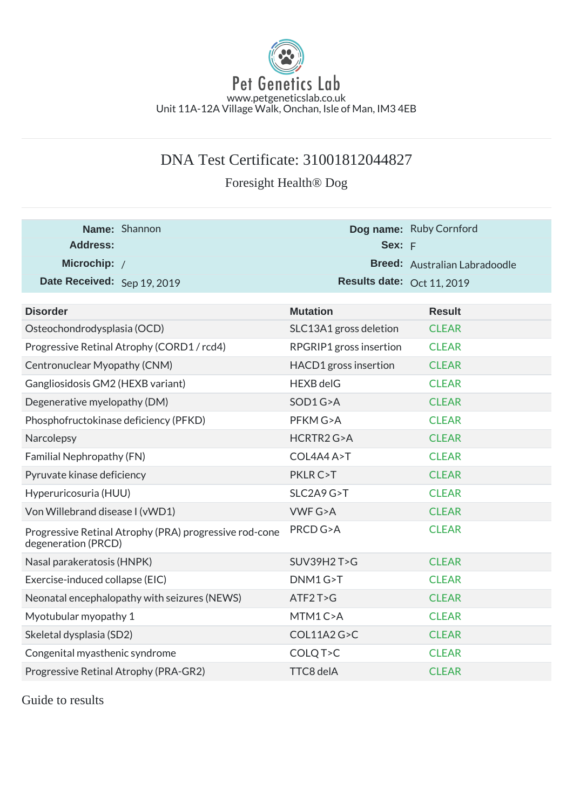

## DNA Test Certificate: 31001812044827

Foresight Health® Dog

| Name: Shannon                                                                 | Dog name: Ruby Cornford    |                               |
|-------------------------------------------------------------------------------|----------------------------|-------------------------------|
| <b>Address:</b>                                                               | Sex: F                     |                               |
| Microchip: /                                                                  |                            | Breed: Australian Labradoodle |
| Date Received: Sep 19, 2019                                                   | Results date: Oct 11, 2019 |                               |
|                                                                               |                            |                               |
| <b>Disorder</b>                                                               | <b>Mutation</b>            | <b>Result</b>                 |
| Osteochondrodysplasia (OCD)                                                   | SLC13A1 gross deletion     | <b>CLEAR</b>                  |
| Progressive Retinal Atrophy (CORD1/rcd4)                                      | RPGRIP1 gross insertion    | <b>CLEAR</b>                  |
| Centronuclear Myopathy (CNM)                                                  | HACD1 gross insertion      | <b>CLEAR</b>                  |
| Gangliosidosis GM2 (HEXB variant)                                             | <b>HEXB delG</b>           | <b>CLEAR</b>                  |
| Degenerative myelopathy (DM)                                                  | SOD1G>A                    | <b>CLEAR</b>                  |
| Phosphofructokinase deficiency (PFKD)                                         | PFKM G>A                   | <b>CLEAR</b>                  |
| Narcolepsy                                                                    | HCRTR2 G>A                 | <b>CLEAR</b>                  |
| Familial Nephropathy (FN)                                                     | COL4A4 A>T                 | <b>CLEAR</b>                  |
| Pyruvate kinase deficiency                                                    | PKLR C>T                   | <b>CLEAR</b>                  |
| Hyperuricosuria (HUU)                                                         | SLC2A9 G>T                 | <b>CLEAR</b>                  |
| Von Willebrand disease I (vWD1)                                               | <b>VWF G&gt;A</b>          | <b>CLEAR</b>                  |
| Progressive Retinal Atrophy (PRA) progressive rod-cone<br>degeneration (PRCD) | PRCD G>A                   | <b>CLEAR</b>                  |
| Nasal parakeratosis (HNPK)                                                    | SUV39H2T>G                 | <b>CLEAR</b>                  |
| Exercise-induced collapse (EIC)                                               | DNM1G>T                    | <b>CLEAR</b>                  |
| Neonatal encephalopathy with seizures (NEWS)                                  | ATF2T>G                    | <b>CLEAR</b>                  |
| Myotubular myopathy 1                                                         | MTM1C>A                    | <b>CLEAR</b>                  |
| Skeletal dysplasia (SD2)                                                      | COL11A2 G>C                | <b>CLEAR</b>                  |
| Congenital myasthenic syndrome                                                | COLQ T>C                   | <b>CLEAR</b>                  |
| Progressive Retinal Atrophy (PRA-GR2)                                         | TTC8 delA                  | <b>CLEAR</b>                  |

Guide to results